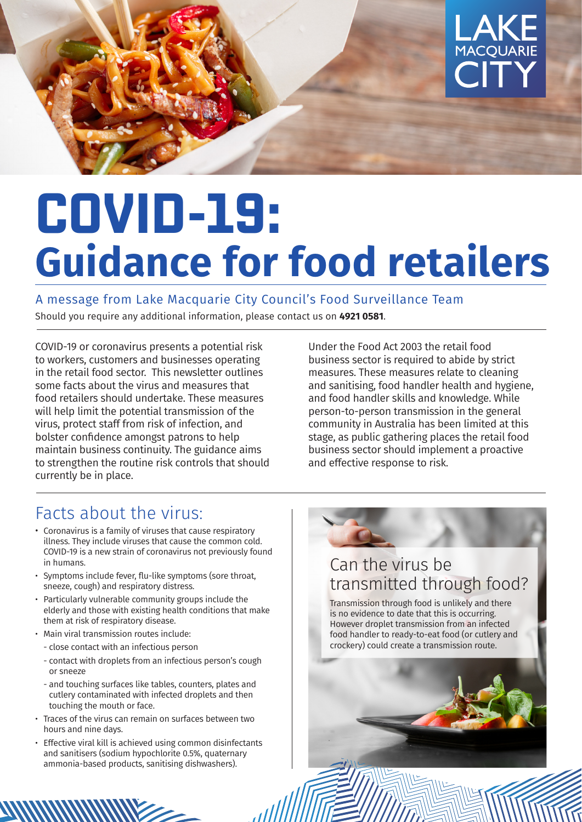

# **COVID-19: Guidance for food retailers**

A message from Lake Macquarie City Council's Food Surveillance Team

ااان

Should you require any additional information, please contact us on **4921 0581**.

COVID-19 or coronavirus presents a potential risk to workers, customers and businesses operating in the retail food sector. This newsletter outlines some facts about the virus and measures that food retailers should undertake. These measures will help limit the potential transmission of the virus, protect staff from risk of infection, and bolster confidence amongst patrons to help maintain business continuity. The guidance aims to strengthen the routine risk controls that should currently be in place.

Under the Food Act 2003 the retail food business sector is required to abide by strict measures. These measures relate to cleaning and sanitising, food handler health and hygiene, and food handler skills and knowledge. While person-to-person transmission in the general community in Australia has been limited at this stage, as public gathering places the retail food business sector should implement a proactive and effective response to risk.

### Facts about the virus:

- Coronavirus is a family of viruses that cause respiratory illness. They include viruses that cause the common cold. COVID-19 is a new strain of coronavirus not previously found in humans.
- Symptoms include fever, flu-like symptoms (sore throat, sneeze, cough) and respiratory distress.
- Particularly vulnerable community groups include the elderly and those with existing health conditions that make them at risk of respiratory disease.
- Main viral transmission routes include:
- close contact with an infectious person
- contact with droplets from an infectious person's cough or sneeze
- and touching surfaces like tables, counters, plates and cutlery contaminated with infected droplets and then touching the mouth or face.
- Traces of the virus can remain on surfaces between two hours and nine days.
- Effective viral kill is achieved using common disinfectants and sanitisers (sodium hypochlorite 0.5%, quaternary ammonia-based products, sanitising dishwashers).

## Can the virus be transmitted through food?

Transmission through food is unlikely and there is no evidence to date that this is occurring. However droplet transmission from an infected food handler to ready-to-eat food (or cutlery and crockery) could create a transmission route.